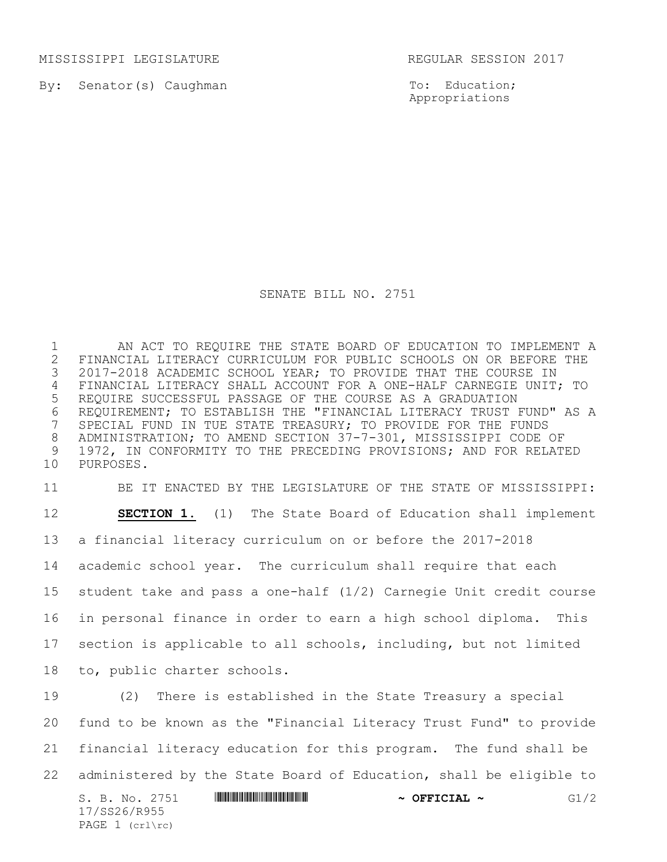MISSISSIPPI LEGISLATURE **REGULAR SESSION 2017** 

By: Senator(s) Caughman

To: Education; Appropriations

## SENATE BILL NO. 2751

 AN ACT TO REQUIRE THE STATE BOARD OF EDUCATION TO IMPLEMENT A 2 FINANCIAL LITERACY CURRICULUM FOR PUBLIC SCHOOLS ON OR BEFORE THE<br>3 2017-2018 ACADEMIC SCHOOL YEAR; TO PROVIDE THAT THE COURSE IN 2017-2018 ACADEMIC SCHOOL YEAR; TO PROVIDE THAT THE COURSE IN FINANCIAL LITERACY SHALL ACCOUNT FOR A ONE-HALF CARNEGIE UNIT; TO REQUIRE SUCCESSFUL PASSAGE OF THE COURSE AS A GRADUATION 6 REQUIREMENT; TO ESTABLISH THE "FINANCIAL LITERACY TRUST FUND" AS A<br>7 SPECIAL FUND IN TUE STATE TREASURY; TO PROVIDE FOR THE FUNDS SPECIAL FUND IN TUE STATE TREASURY; TO PROVIDE FOR THE FUNDS ADMINISTRATION; TO AMEND SECTION 37-7-301, MISSISSIPPI CODE OF 1972, IN CONFORMITY TO THE PRECEDING PROVISIONS; AND FOR RELATED PURPOSES.

 BE IT ENACTED BY THE LEGISLATURE OF THE STATE OF MISSISSIPPI: **SECTION 1.** (1) The State Board of Education shall implement a financial literacy curriculum on or before the 2017-2018 academic school year. The curriculum shall require that each student take and pass a one-half (1/2) Carnegie Unit credit course in personal finance in order to earn a high school diploma. This section is applicable to all schools, including, but not limited to, public charter schools.

S. B. No. 2751 **A SECONDAM CONSTRUCTED A SECONDLY**  $\sim$  **OFFICIAL**  $\sim$  **G1/2** 17/SS26/R955 PAGE 1 (crl\rc) (2) There is established in the State Treasury a special fund to be known as the "Financial Literacy Trust Fund" to provide financial literacy education for this program. The fund shall be administered by the State Board of Education, shall be eligible to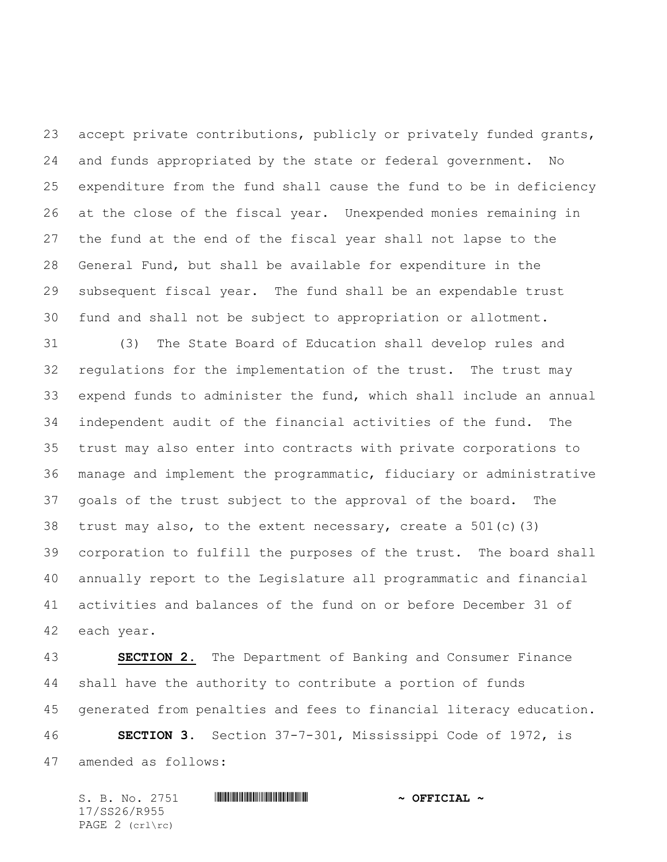accept private contributions, publicly or privately funded grants, and funds appropriated by the state or federal government. No expenditure from the fund shall cause the fund to be in deficiency at the close of the fiscal year. Unexpended monies remaining in the fund at the end of the fiscal year shall not lapse to the General Fund, but shall be available for expenditure in the subsequent fiscal year. The fund shall be an expendable trust fund and shall not be subject to appropriation or allotment.

 (3) The State Board of Education shall develop rules and regulations for the implementation of the trust. The trust may expend funds to administer the fund, which shall include an annual independent audit of the financial activities of the fund. The trust may also enter into contracts with private corporations to manage and implement the programmatic, fiduciary or administrative goals of the trust subject to the approval of the board. The trust may also, to the extent necessary, create a 501(c)(3) corporation to fulfill the purposes of the trust. The board shall annually report to the Legislature all programmatic and financial activities and balances of the fund on or before December 31 of each year.

 **SECTION 2.** The Department of Banking and Consumer Finance shall have the authority to contribute a portion of funds generated from penalties and fees to financial literacy education. **SECTION 3.** Section 37-7-301, Mississippi Code of 1972, is amended as follows:

 $S. B. No. 2751$  **. We will consider the set of**  $\sim$  **OFFICIAL**  $\sim$ 17/SS26/R955 PAGE 2 (crl\rc)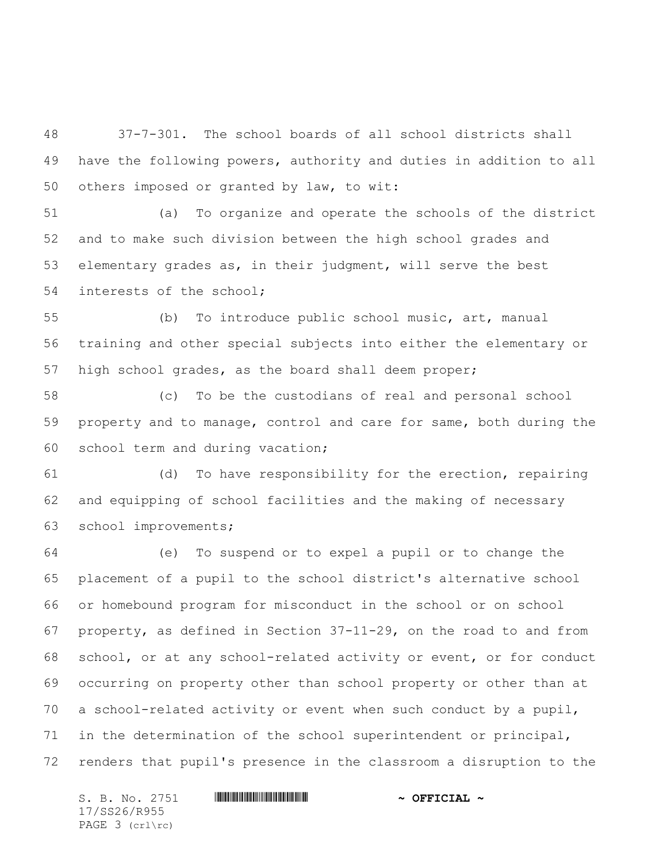37-7-301. The school boards of all school districts shall have the following powers, authority and duties in addition to all others imposed or granted by law, to wit:

 (a) To organize and operate the schools of the district and to make such division between the high school grades and elementary grades as, in their judgment, will serve the best interests of the school;

 (b) To introduce public school music, art, manual training and other special subjects into either the elementary or high school grades, as the board shall deem proper;

 (c) To be the custodians of real and personal school property and to manage, control and care for same, both during the school term and during vacation;

 (d) To have responsibility for the erection, repairing and equipping of school facilities and the making of necessary school improvements;

 (e) To suspend or to expel a pupil or to change the placement of a pupil to the school district's alternative school or homebound program for misconduct in the school or on school property, as defined in Section 37-11-29, on the road to and from school, or at any school-related activity or event, or for conduct occurring on property other than school property or other than at a school-related activity or event when such conduct by a pupil, in the determination of the school superintendent or principal, renders that pupil's presence in the classroom a disruption to the

 $S. B. No. 2751$  **\*\*\* A FIGIAL ~ OFFICIAL ~** 17/SS26/R955 PAGE 3 (crl\rc)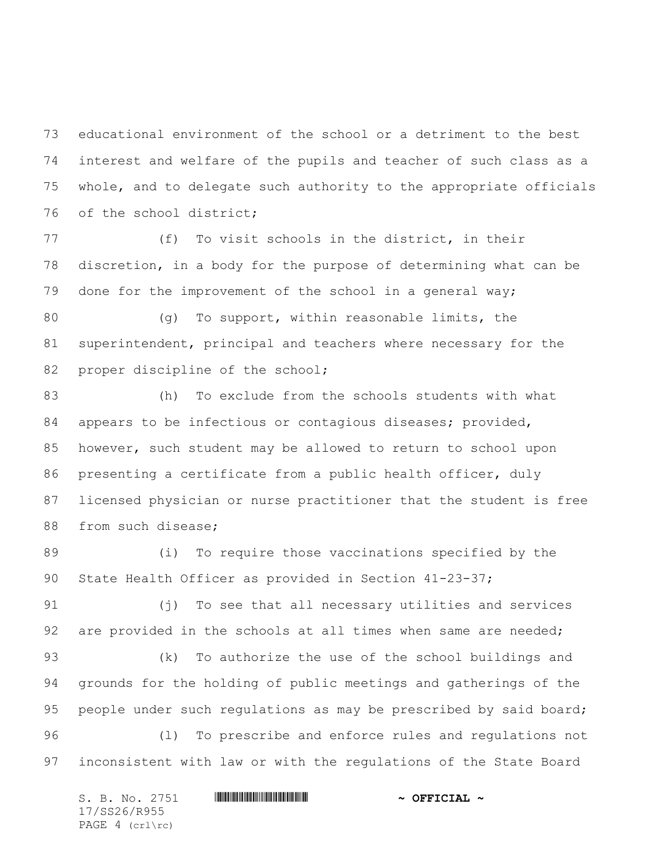educational environment of the school or a detriment to the best interest and welfare of the pupils and teacher of such class as a whole, and to delegate such authority to the appropriate officials of the school district;

 (f) To visit schools in the district, in their discretion, in a body for the purpose of determining what can be done for the improvement of the school in a general way;

80 (g) To support, within reasonable limits, the superintendent, principal and teachers where necessary for the 82 proper discipline of the school;

 (h) To exclude from the schools students with what 84 appears to be infectious or contagious diseases; provided, however, such student may be allowed to return to school upon presenting a certificate from a public health officer, duly licensed physician or nurse practitioner that the student is free 88 from such disease;

 (i) To require those vaccinations specified by the 90 State Health Officer as provided in Section 41-23-37;

 (j) To see that all necessary utilities and services 92 are provided in the schools at all times when same are needed;

 (k) To authorize the use of the school buildings and grounds for the holding of public meetings and gatherings of the 95 people under such regulations as may be prescribed by said board; (l) To prescribe and enforce rules and regulations not inconsistent with law or with the regulations of the State Board

 $S. B. No. 2751$  **\*\*\* A FIGIAL ~ OFFICIAL ~** 17/SS26/R955 PAGE 4 (crl\rc)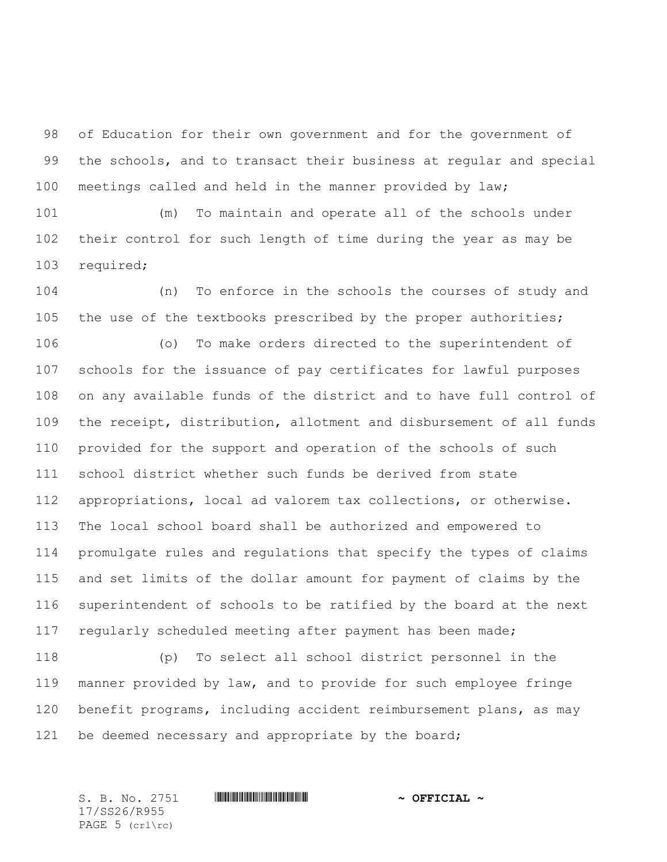of Education for their own government and for the government of the schools, and to transact their business at regular and special meetings called and held in the manner provided by law;

 (m) To maintain and operate all of the schools under their control for such length of time during the year as may be required;

 (n) To enforce in the schools the courses of study and 105 the use of the textbooks prescribed by the proper authorities;

 (o) To make orders directed to the superintendent of schools for the issuance of pay certificates for lawful purposes on any available funds of the district and to have full control of the receipt, distribution, allotment and disbursement of all funds provided for the support and operation of the schools of such school district whether such funds be derived from state appropriations, local ad valorem tax collections, or otherwise. The local school board shall be authorized and empowered to promulgate rules and regulations that specify the types of claims and set limits of the dollar amount for payment of claims by the superintendent of schools to be ratified by the board at the next regularly scheduled meeting after payment has been made;

 (p) To select all school district personnel in the manner provided by law, and to provide for such employee fringe benefit programs, including accident reimbursement plans, as may be deemed necessary and appropriate by the board;

17/SS26/R955 PAGE 5 (crl\rc)

S. B. No. 2751 \*SS26/R955\* **~ OFFICIAL ~**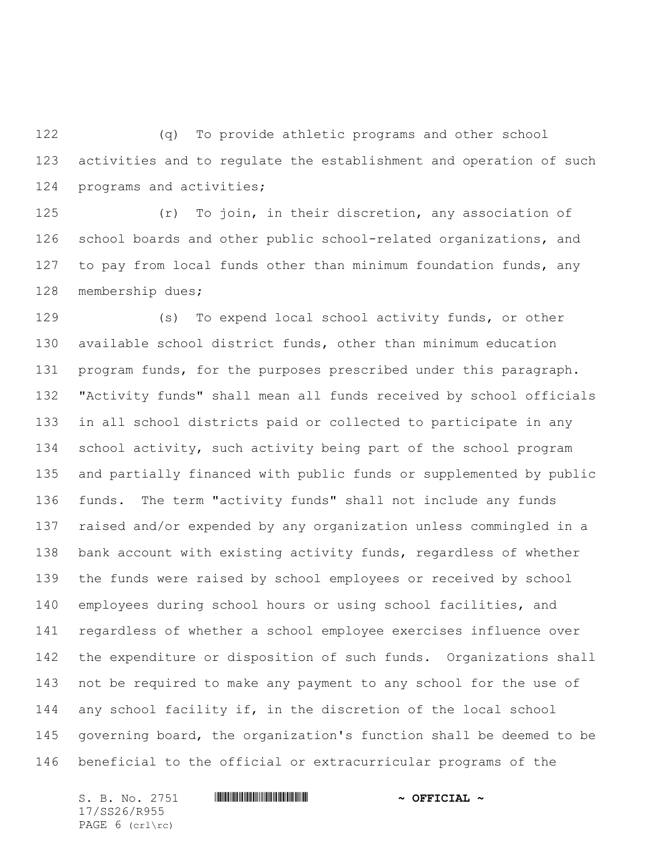(q) To provide athletic programs and other school activities and to regulate the establishment and operation of such programs and activities;

 (r) To join, in their discretion, any association of school boards and other public school-related organizations, and 127 to pay from local funds other than minimum foundation funds, any membership dues;

 (s) To expend local school activity funds, or other available school district funds, other than minimum education 131 program funds, for the purposes prescribed under this paragraph. "Activity funds" shall mean all funds received by school officials in all school districts paid or collected to participate in any school activity, such activity being part of the school program and partially financed with public funds or supplemented by public funds. The term "activity funds" shall not include any funds raised and/or expended by any organization unless commingled in a bank account with existing activity funds, regardless of whether the funds were raised by school employees or received by school employees during school hours or using school facilities, and regardless of whether a school employee exercises influence over the expenditure or disposition of such funds. Organizations shall not be required to make any payment to any school for the use of any school facility if, in the discretion of the local school governing board, the organization's function shall be deemed to be beneficial to the official or extracurricular programs of the

 $S. B. No. 2751$  **\*\*\* A FIGIAL ~ OFFICIAL ~** 17/SS26/R955 PAGE 6 (crl\rc)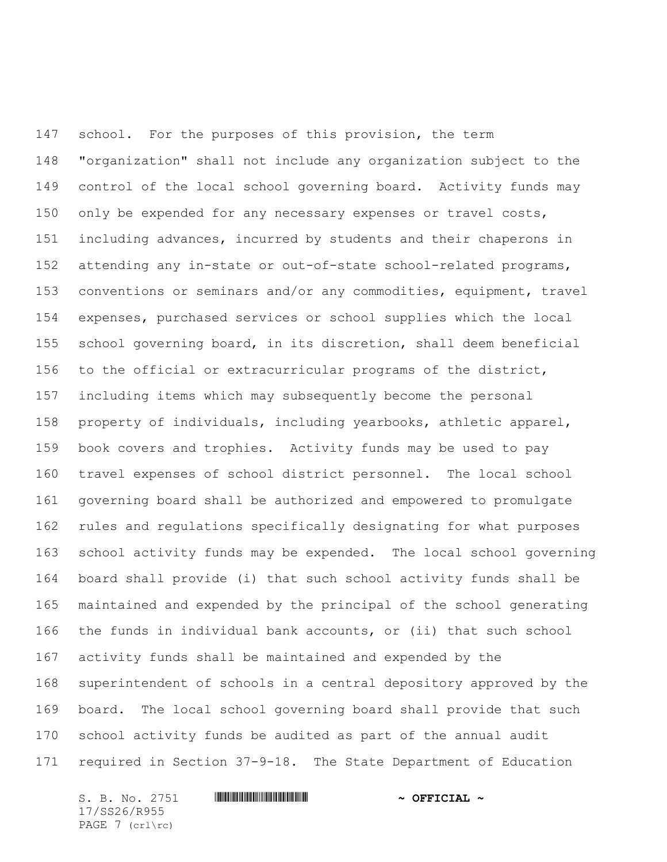school. For the purposes of this provision, the term "organization" shall not include any organization subject to the control of the local school governing board. Activity funds may only be expended for any necessary expenses or travel costs, including advances, incurred by students and their chaperons in attending any in-state or out-of-state school-related programs, conventions or seminars and/or any commodities, equipment, travel expenses, purchased services or school supplies which the local school governing board, in its discretion, shall deem beneficial to the official or extracurricular programs of the district, including items which may subsequently become the personal property of individuals, including yearbooks, athletic apparel, book covers and trophies. Activity funds may be used to pay travel expenses of school district personnel. The local school governing board shall be authorized and empowered to promulgate rules and regulations specifically designating for what purposes school activity funds may be expended. The local school governing board shall provide (i) that such school activity funds shall be maintained and expended by the principal of the school generating the funds in individual bank accounts, or (ii) that such school activity funds shall be maintained and expended by the superintendent of schools in a central depository approved by the board. The local school governing board shall provide that such school activity funds be audited as part of the annual audit required in Section 37-9-18. The State Department of Education

 $S. B. No. 2751$  **. We will consider the set of**  $\sim$  **OFFICIAL**  $\sim$ 17/SS26/R955 PAGE 7 (crl\rc)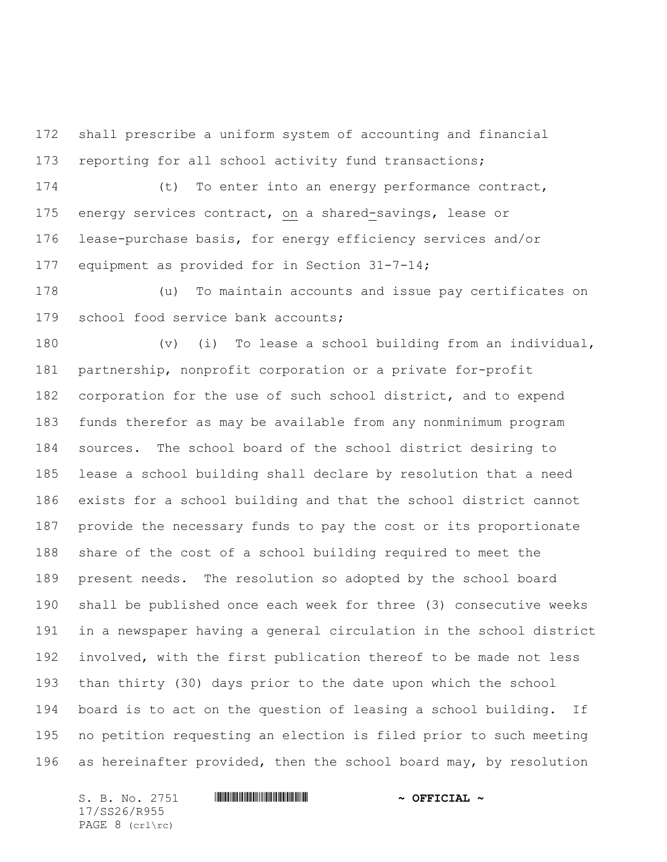shall prescribe a uniform system of accounting and financial reporting for all school activity fund transactions;

 (t) To enter into an energy performance contract, energy services contract, on a shared-savings, lease or lease-purchase basis, for energy efficiency services and/or equipment as provided for in Section 31-7-14;

 (u) To maintain accounts and issue pay certificates on school food service bank accounts;

 (v) (i) To lease a school building from an individual, partnership, nonprofit corporation or a private for-profit corporation for the use of such school district, and to expend funds therefor as may be available from any nonminimum program sources. The school board of the school district desiring to lease a school building shall declare by resolution that a need exists for a school building and that the school district cannot provide the necessary funds to pay the cost or its proportionate share of the cost of a school building required to meet the present needs. The resolution so adopted by the school board shall be published once each week for three (3) consecutive weeks in a newspaper having a general circulation in the school district involved, with the first publication thereof to be made not less than thirty (30) days prior to the date upon which the school board is to act on the question of leasing a school building. If no petition requesting an election is filed prior to such meeting as hereinafter provided, then the school board may, by resolution

 $S. B. No. 2751$  **\*\*\* A FIGIAL ~ OFFICIAL ~** 17/SS26/R955 PAGE 8 (crl\rc)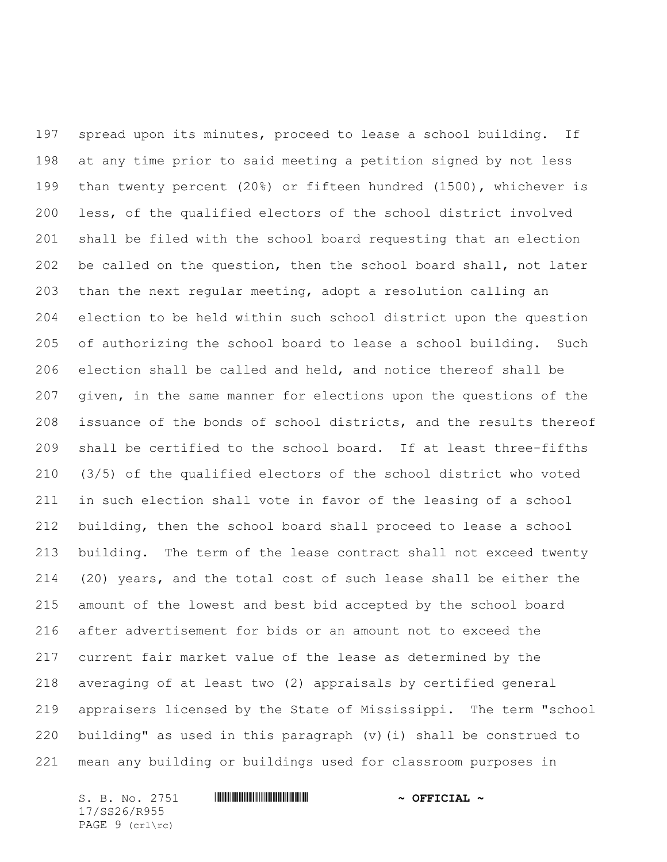spread upon its minutes, proceed to lease a school building. If at any time prior to said meeting a petition signed by not less than twenty percent (20%) or fifteen hundred (1500), whichever is less, of the qualified electors of the school district involved shall be filed with the school board requesting that an election be called on the question, then the school board shall, not later than the next regular meeting, adopt a resolution calling an election to be held within such school district upon the question of authorizing the school board to lease a school building. Such election shall be called and held, and notice thereof shall be given, in the same manner for elections upon the questions of the issuance of the bonds of school districts, and the results thereof shall be certified to the school board. If at least three-fifths (3/5) of the qualified electors of the school district who voted in such election shall vote in favor of the leasing of a school building, then the school board shall proceed to lease a school building. The term of the lease contract shall not exceed twenty (20) years, and the total cost of such lease shall be either the amount of the lowest and best bid accepted by the school board after advertisement for bids or an amount not to exceed the current fair market value of the lease as determined by the averaging of at least two (2) appraisals by certified general appraisers licensed by the State of Mississippi. The term "school building" as used in this paragraph (v)(i) shall be construed to mean any building or buildings used for classroom purposes in

 $S. B. No. 2751$  **\*\*\* A FIGIAL ~ OFFICIAL ~** 17/SS26/R955 PAGE 9 (crl\rc)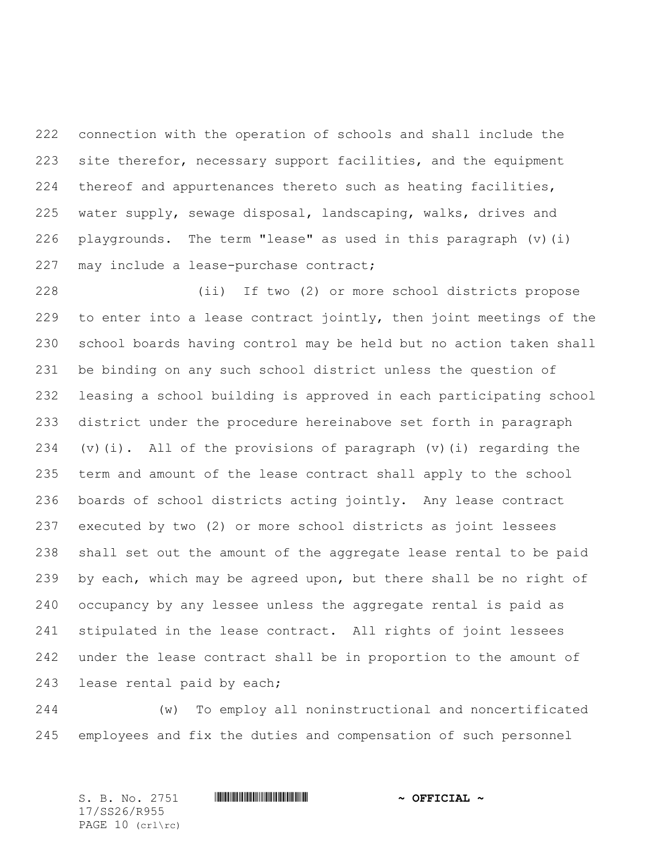connection with the operation of schools and shall include the site therefor, necessary support facilities, and the equipment thereof and appurtenances thereto such as heating facilities, water supply, sewage disposal, landscaping, walks, drives and playgrounds. The term "lease" as used in this paragraph (v)(i) 227 may include a lease-purchase contract;

 (ii) If two (2) or more school districts propose to enter into a lease contract jointly, then joint meetings of the school boards having control may be held but no action taken shall be binding on any such school district unless the question of leasing a school building is approved in each participating school district under the procedure hereinabove set forth in paragraph (v)(i). All of the provisions of paragraph (v)(i) regarding the term and amount of the lease contract shall apply to the school boards of school districts acting jointly. Any lease contract executed by two (2) or more school districts as joint lessees shall set out the amount of the aggregate lease rental to be paid by each, which may be agreed upon, but there shall be no right of occupancy by any lessee unless the aggregate rental is paid as stipulated in the lease contract. All rights of joint lessees under the lease contract shall be in proportion to the amount of lease rental paid by each;

 (w) To employ all noninstructional and noncertificated employees and fix the duties and compensation of such personnel

S. B. No. 2751 \*SS26/R955\* **~ OFFICIAL ~** 17/SS26/R955 PAGE 10 (crl\rc)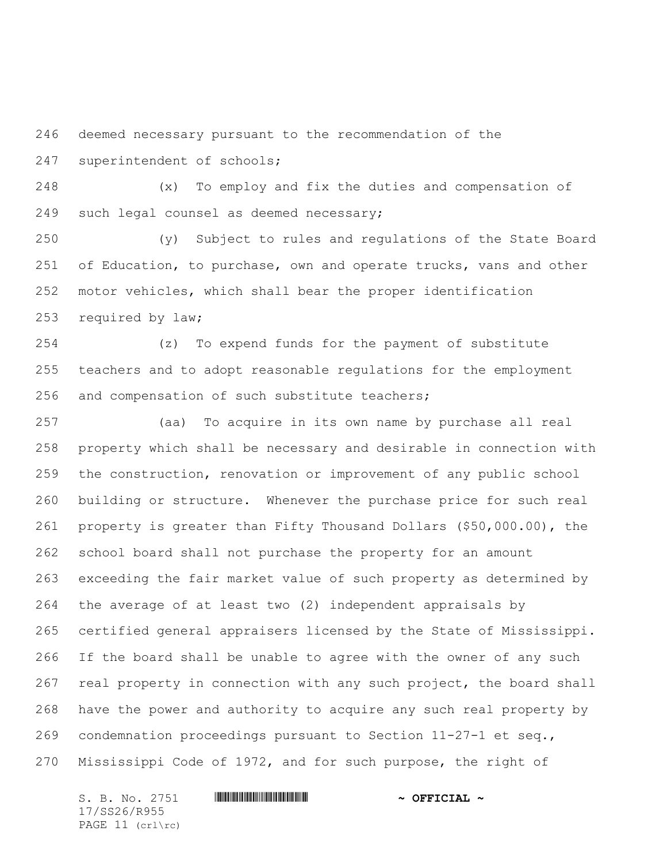deemed necessary pursuant to the recommendation of the superintendent of schools;

 (x) To employ and fix the duties and compensation of such legal counsel as deemed necessary;

 (y) Subject to rules and regulations of the State Board 251 of Education, to purchase, own and operate trucks, vans and other motor vehicles, which shall bear the proper identification required by law;

 (z) To expend funds for the payment of substitute teachers and to adopt reasonable regulations for the employment and compensation of such substitute teachers;

 (aa) To acquire in its own name by purchase all real property which shall be necessary and desirable in connection with the construction, renovation or improvement of any public school building or structure. Whenever the purchase price for such real property is greater than Fifty Thousand Dollars (\$50,000.00), the school board shall not purchase the property for an amount exceeding the fair market value of such property as determined by the average of at least two (2) independent appraisals by certified general appraisers licensed by the State of Mississippi. If the board shall be unable to agree with the owner of any such real property in connection with any such project, the board shall have the power and authority to acquire any such real property by condemnation proceedings pursuant to Section 11-27-1 et seq., Mississippi Code of 1972, and for such purpose, the right of

 $S. B. No. 2751$  **\*\*\* A FIGIAL ~ OFFICIAL ~** 17/SS26/R955 PAGE 11 (crl\rc)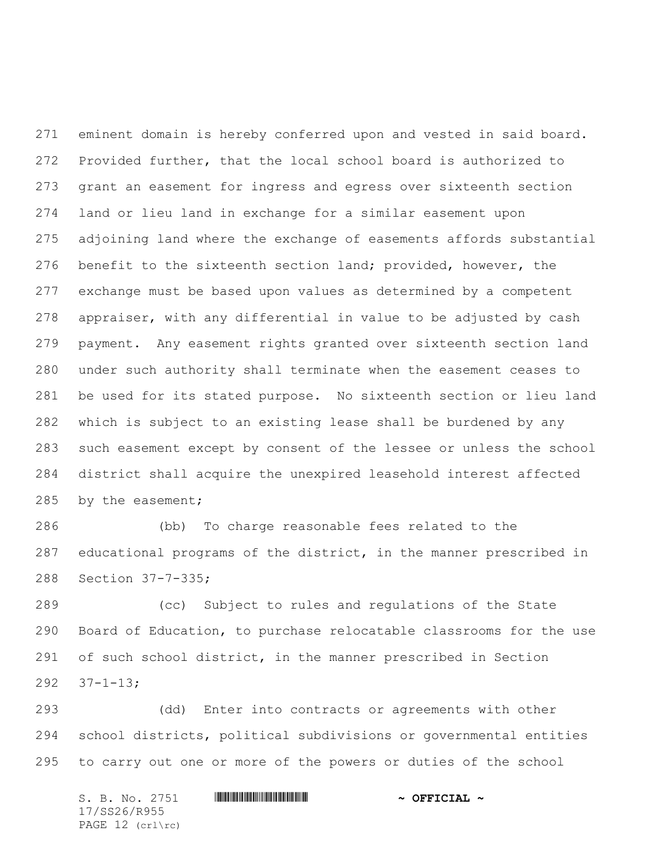eminent domain is hereby conferred upon and vested in said board. Provided further, that the local school board is authorized to grant an easement for ingress and egress over sixteenth section land or lieu land in exchange for a similar easement upon adjoining land where the exchange of easements affords substantial benefit to the sixteenth section land; provided, however, the exchange must be based upon values as determined by a competent appraiser, with any differential in value to be adjusted by cash payment. Any easement rights granted over sixteenth section land under such authority shall terminate when the easement ceases to be used for its stated purpose. No sixteenth section or lieu land which is subject to an existing lease shall be burdened by any such easement except by consent of the lessee or unless the school district shall acquire the unexpired leasehold interest affected 285 by the easement;

 (bb) To charge reasonable fees related to the educational programs of the district, in the manner prescribed in Section 37-7-335;

 (cc) Subject to rules and regulations of the State Board of Education, to purchase relocatable classrooms for the use of such school district, in the manner prescribed in Section 37-1-13;

 (dd) Enter into contracts or agreements with other school districts, political subdivisions or governmental entities to carry out one or more of the powers or duties of the school

 $S. B. No. 2751$  **. We will consider the set of**  $\sim$  **OFFICIAL**  $\sim$ 17/SS26/R955 PAGE 12 (crl\rc)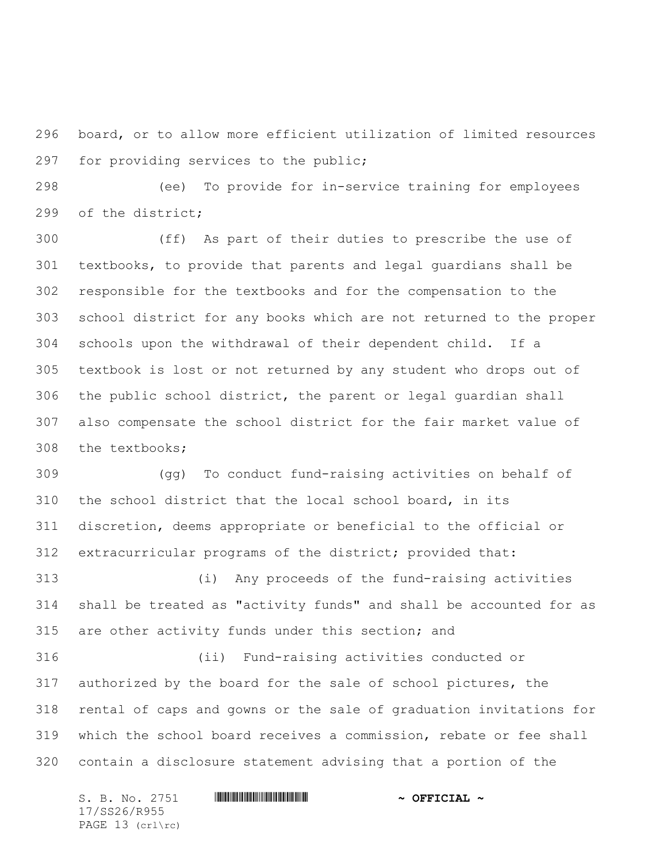board, or to allow more efficient utilization of limited resources for providing services to the public;

 (ee) To provide for in-service training for employees of the district;

 (ff) As part of their duties to prescribe the use of textbooks, to provide that parents and legal guardians shall be responsible for the textbooks and for the compensation to the school district for any books which are not returned to the proper schools upon the withdrawal of their dependent child. If a textbook is lost or not returned by any student who drops out of the public school district, the parent or legal guardian shall also compensate the school district for the fair market value of the textbooks;

 (gg) To conduct fund-raising activities on behalf of the school district that the local school board, in its discretion, deems appropriate or beneficial to the official or extracurricular programs of the district; provided that:

 (i) Any proceeds of the fund-raising activities shall be treated as "activity funds" and shall be accounted for as are other activity funds under this section; and

 (ii) Fund-raising activities conducted or authorized by the board for the sale of school pictures, the rental of caps and gowns or the sale of graduation invitations for which the school board receives a commission, rebate or fee shall contain a disclosure statement advising that a portion of the

 $S. B. No. 2751$  **. We will consider the set of**  $\sim$  **OFFICIAL**  $\sim$ 17/SS26/R955 PAGE 13 (crl\rc)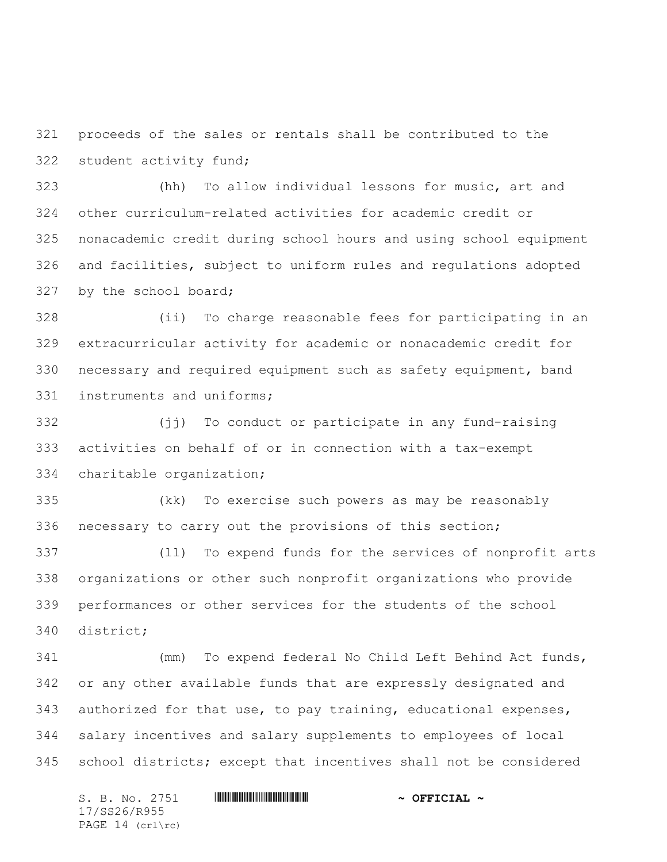proceeds of the sales or rentals shall be contributed to the student activity fund;

 (hh) To allow individual lessons for music, art and other curriculum-related activities for academic credit or nonacademic credit during school hours and using school equipment and facilities, subject to uniform rules and regulations adopted by the school board;

 (ii) To charge reasonable fees for participating in an extracurricular activity for academic or nonacademic credit for necessary and required equipment such as safety equipment, band instruments and uniforms;

 (jj) To conduct or participate in any fund-raising activities on behalf of or in connection with a tax-exempt charitable organization;

 (kk) To exercise such powers as may be reasonably necessary to carry out the provisions of this section;

 (ll) To expend funds for the services of nonprofit arts organizations or other such nonprofit organizations who provide performances or other services for the students of the school district;

 (mm) To expend federal No Child Left Behind Act funds, or any other available funds that are expressly designated and authorized for that use, to pay training, educational expenses, salary incentives and salary supplements to employees of local school districts; except that incentives shall not be considered

 $S. B. No. 2751$  **. We will consider the set of**  $\sim$  **OFFICIAL**  $\sim$ 17/SS26/R955 PAGE 14 (crl\rc)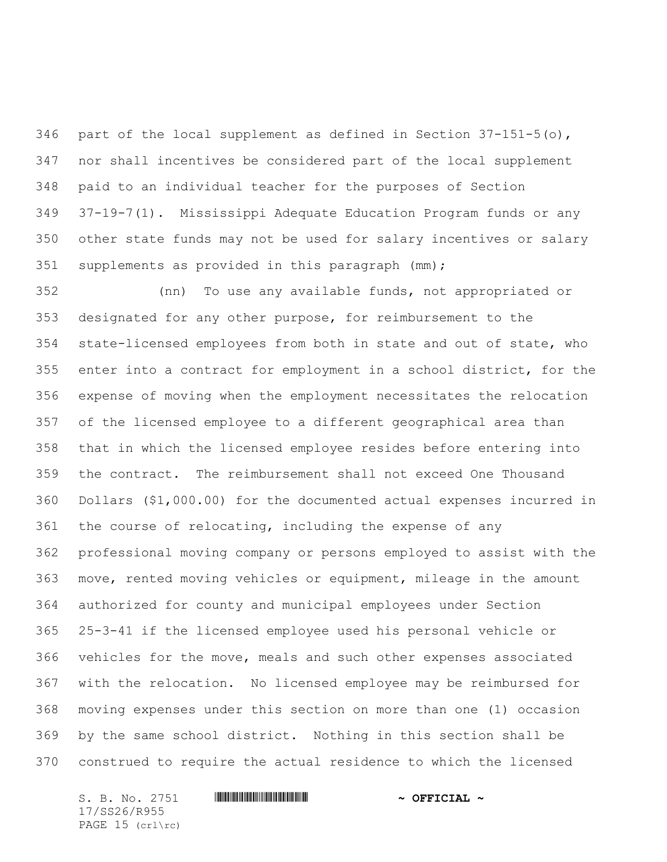346 part of the local supplement as defined in Section  $37-151-5$  (o), nor shall incentives be considered part of the local supplement paid to an individual teacher for the purposes of Section 37-19-7(1). Mississippi Adequate Education Program funds or any other state funds may not be used for salary incentives or salary supplements as provided in this paragraph (mm);

 (nn) To use any available funds, not appropriated or designated for any other purpose, for reimbursement to the state-licensed employees from both in state and out of state, who enter into a contract for employment in a school district, for the expense of moving when the employment necessitates the relocation of the licensed employee to a different geographical area than that in which the licensed employee resides before entering into the contract. The reimbursement shall not exceed One Thousand Dollars (\$1,000.00) for the documented actual expenses incurred in the course of relocating, including the expense of any professional moving company or persons employed to assist with the move, rented moving vehicles or equipment, mileage in the amount authorized for county and municipal employees under Section 25-3-41 if the licensed employee used his personal vehicle or vehicles for the move, meals and such other expenses associated with the relocation. No licensed employee may be reimbursed for moving expenses under this section on more than one (1) occasion by the same school district. Nothing in this section shall be construed to require the actual residence to which the licensed

 $S. B. No. 2751$  **\*\*\* A FIGURE 4 \*\*\* \*\*\***  $\sim$  **OFFICIAL**  $\sim$ 17/SS26/R955 PAGE 15 (crl\rc)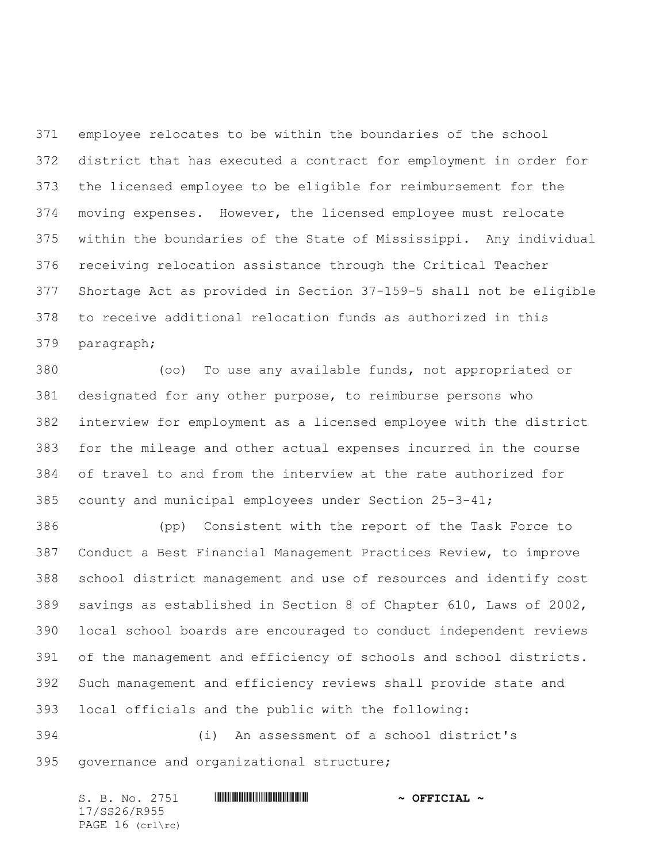employee relocates to be within the boundaries of the school district that has executed a contract for employment in order for the licensed employee to be eligible for reimbursement for the moving expenses. However, the licensed employee must relocate within the boundaries of the State of Mississippi. Any individual receiving relocation assistance through the Critical Teacher Shortage Act as provided in Section 37-159-5 shall not be eligible to receive additional relocation funds as authorized in this paragraph;

 (oo) To use any available funds, not appropriated or designated for any other purpose, to reimburse persons who interview for employment as a licensed employee with the district for the mileage and other actual expenses incurred in the course of travel to and from the interview at the rate authorized for county and municipal employees under Section 25-3-41;

 (pp) Consistent with the report of the Task Force to Conduct a Best Financial Management Practices Review, to improve school district management and use of resources and identify cost savings as established in Section 8 of Chapter 610, Laws of 2002, local school boards are encouraged to conduct independent reviews of the management and efficiency of schools and school districts. Such management and efficiency reviews shall provide state and local officials and the public with the following:

 (i) An assessment of a school district's governance and organizational structure;

 $S. B. No. 2751$  **\*\*\* A FIGIAL ~ OFFICIAL ~** 17/SS26/R955 PAGE 16 (crl\rc)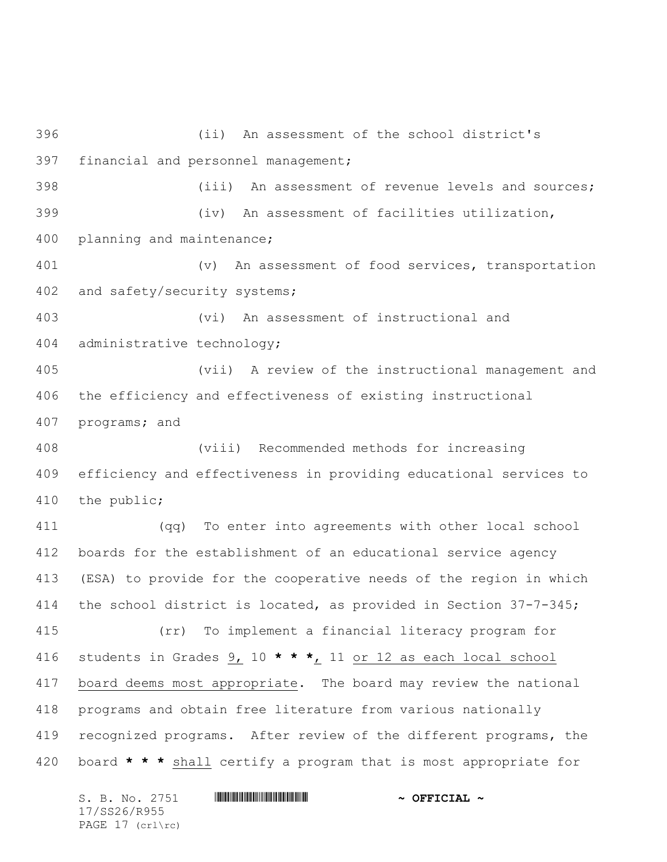(ii) An assessment of the school district's financial and personnel management; (iii) An assessment of revenue levels and sources; (iv) An assessment of facilities utilization, planning and maintenance; (v) An assessment of food services, transportation and safety/security systems; (vi) An assessment of instructional and administrative technology; (vii) A review of the instructional management and the efficiency and effectiveness of existing instructional programs; and (viii) Recommended methods for increasing efficiency and effectiveness in providing educational services to the public; (qq) To enter into agreements with other local school boards for the establishment of an educational service agency (ESA) to provide for the cooperative needs of the region in which the school district is located, as provided in Section 37-7-345; (rr) To implement a financial literacy program for students in Grades 9, 10 **\* \* \***, 11 or 12 as each local school board deems most appropriate. The board may review the national programs and obtain free literature from various nationally recognized programs. After review of the different programs, the board **\* \* \*** shall certify a program that is most appropriate for

 $S. B. No. 2751$  **\*\*\* A FIGIAL ~ OFFICIAL ~** 17/SS26/R955 PAGE 17 (crl\rc)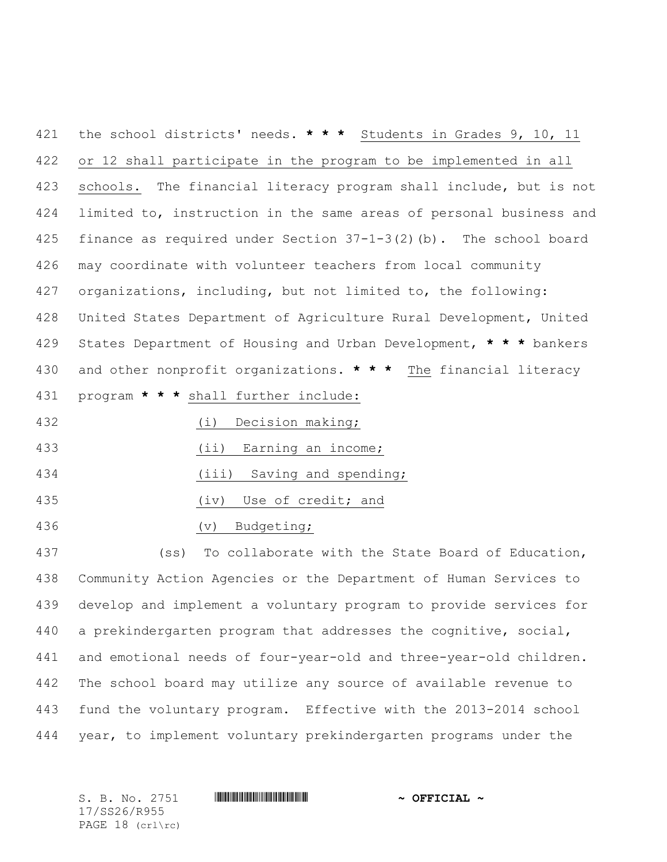the school districts' needs. **\* \* \*** Students in Grades 9, 10, 11 or 12 shall participate in the program to be implemented in all schools. The financial literacy program shall include, but is not limited to, instruction in the same areas of personal business and finance as required under Section 37-1-3(2)(b). The school board may coordinate with volunteer teachers from local community organizations, including, but not limited to, the following: United States Department of Agriculture Rural Development, United States Department of Housing and Urban Development, **\* \* \*** bankers and other nonprofit organizations. **\* \* \*** The financial literacy program **\* \* \*** shall further include:

(i) Decision making;

- (ii) Earning an income;
- 434 (iii) Saving and spending;
- (iv) Use of credit; and
- (v) Budgeting;

 (ss) To collaborate with the State Board of Education, Community Action Agencies or the Department of Human Services to develop and implement a voluntary program to provide services for a prekindergarten program that addresses the cognitive, social, and emotional needs of four-year-old and three-year-old children. The school board may utilize any source of available revenue to fund the voluntary program. Effective with the 2013-2014 school year, to implement voluntary prekindergarten programs under the

 $S. B. No. 2751$  **. We will consider the set of**  $\sim$  **OFFICIAL**  $\sim$ 17/SS26/R955 PAGE 18 (crl\rc)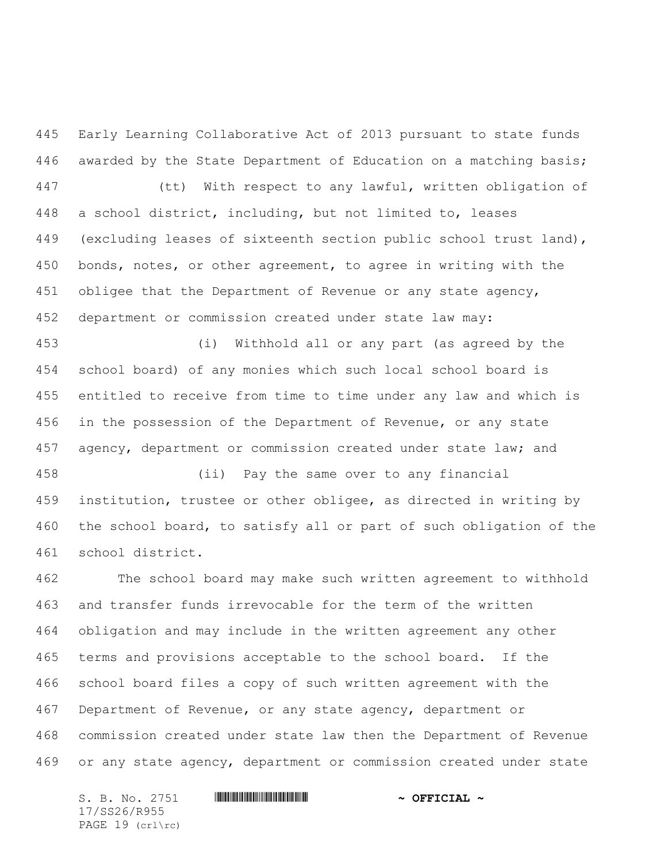Early Learning Collaborative Act of 2013 pursuant to state funds awarded by the State Department of Education on a matching basis; (tt) With respect to any lawful, written obligation of a school district, including, but not limited to, leases (excluding leases of sixteenth section public school trust land), bonds, notes, or other agreement, to agree in writing with the obligee that the Department of Revenue or any state agency, department or commission created under state law may:

 (i) Withhold all or any part (as agreed by the school board) of any monies which such local school board is entitled to receive from time to time under any law and which is in the possession of the Department of Revenue, or any state 457 agency, department or commission created under state law; and

 (ii) Pay the same over to any financial institution, trustee or other obligee, as directed in writing by the school board, to satisfy all or part of such obligation of the school district.

 The school board may make such written agreement to withhold and transfer funds irrevocable for the term of the written obligation and may include in the written agreement any other terms and provisions acceptable to the school board. If the school board files a copy of such written agreement with the Department of Revenue, or any state agency, department or commission created under state law then the Department of Revenue or any state agency, department or commission created under state

 $S. B. No. 2751$  **\*\*\* A FIGIAL ~ OFFICIAL ~** 17/SS26/R955 PAGE 19 (crl\rc)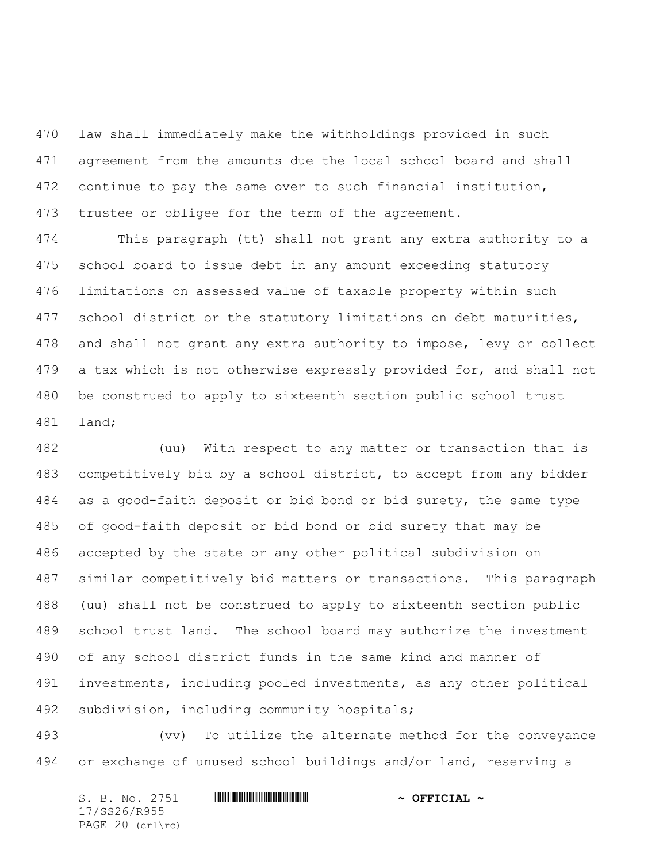law shall immediately make the withholdings provided in such agreement from the amounts due the local school board and shall continue to pay the same over to such financial institution, trustee or obligee for the term of the agreement.

 This paragraph (tt) shall not grant any extra authority to a school board to issue debt in any amount exceeding statutory limitations on assessed value of taxable property within such school district or the statutory limitations on debt maturities, and shall not grant any extra authority to impose, levy or collect 479 a tax which is not otherwise expressly provided for, and shall not be construed to apply to sixteenth section public school trust land;

 (uu) With respect to any matter or transaction that is competitively bid by a school district, to accept from any bidder as a good-faith deposit or bid bond or bid surety, the same type of good-faith deposit or bid bond or bid surety that may be accepted by the state or any other political subdivision on similar competitively bid matters or transactions. This paragraph (uu) shall not be construed to apply to sixteenth section public school trust land. The school board may authorize the investment of any school district funds in the same kind and manner of investments, including pooled investments, as any other political subdivision, including community hospitals;

 (vv) To utilize the alternate method for the conveyance or exchange of unused school buildings and/or land, reserving a

 $S. B. No. 2751$  **\*\*\* A FIGIAL ~ OFFICIAL ~** 17/SS26/R955 PAGE 20 (crl\rc)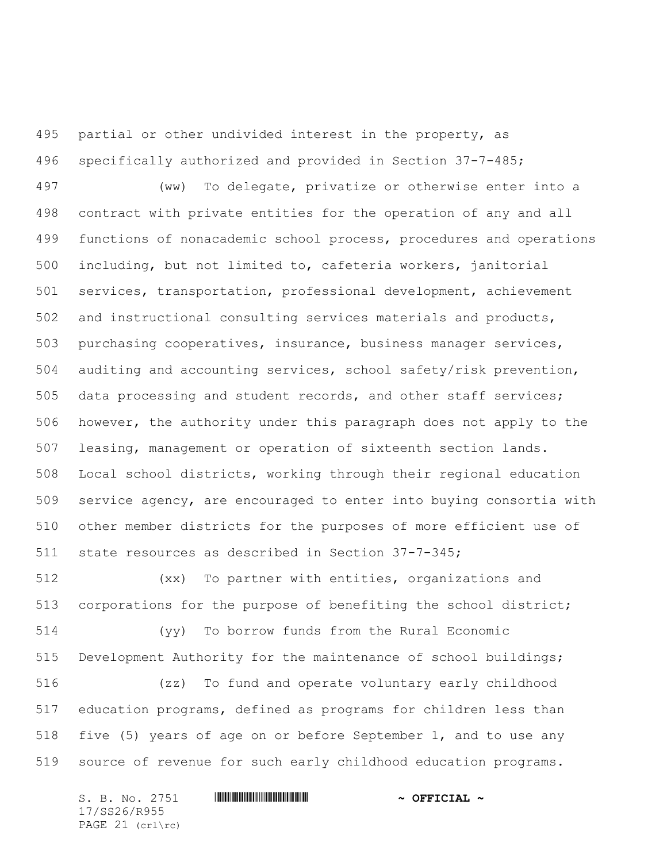partial or other undivided interest in the property, as specifically authorized and provided in Section 37-7-485;

 (ww) To delegate, privatize or otherwise enter into a contract with private entities for the operation of any and all functions of nonacademic school process, procedures and operations including, but not limited to, cafeteria workers, janitorial services, transportation, professional development, achievement and instructional consulting services materials and products, purchasing cooperatives, insurance, business manager services, auditing and accounting services, school safety/risk prevention, data processing and student records, and other staff services; however, the authority under this paragraph does not apply to the leasing, management or operation of sixteenth section lands. Local school districts, working through their regional education service agency, are encouraged to enter into buying consortia with other member districts for the purposes of more efficient use of state resources as described in Section 37-7-345;

 (xx) To partner with entities, organizations and corporations for the purpose of benefiting the school district;

 (yy) To borrow funds from the Rural Economic Development Authority for the maintenance of school buildings;

 (zz) To fund and operate voluntary early childhood education programs, defined as programs for children less than five (5) years of age on or before September 1, and to use any source of revenue for such early childhood education programs.

 $S. B. No. 2751$  **\*\*\* A FIGIAL ~ OFFICIAL ~** 17/SS26/R955 PAGE 21 (crl\rc)